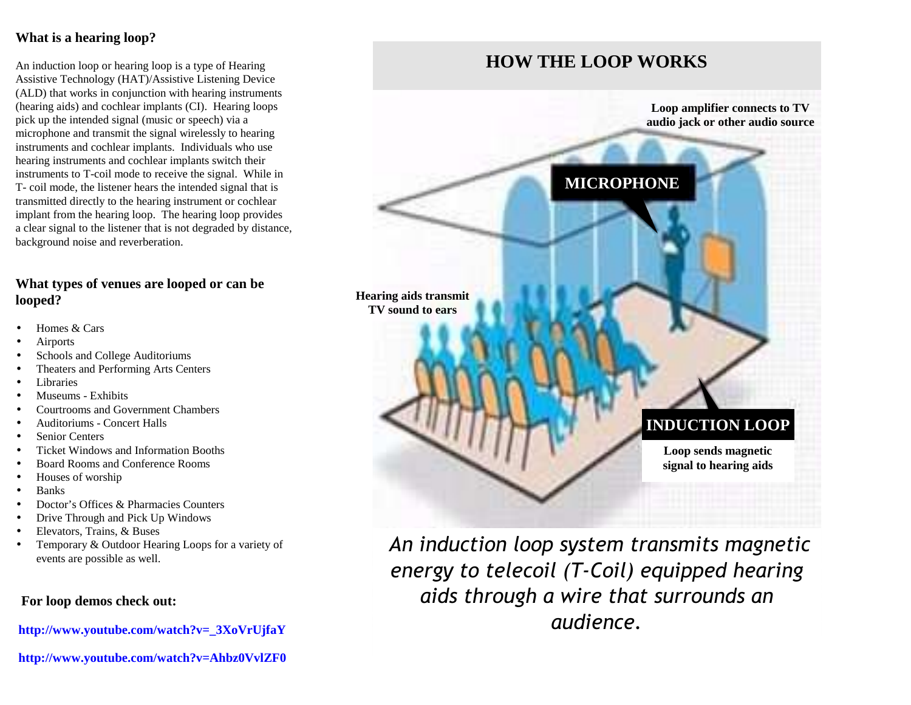## **What is a hearing loop?**

An induction loop or hearing loop is a type of Hearing Assistive Technology (HAT)/Assistive Listening Device (ALD) that works in conjunction with hearing instruments (hearing aids) and cochlear implants (CI). Hearing loopspick up the intended signal (music or speech) via a microphone and transmit the signal wirelessly to hearing instruments and cochlear implants. Individuals who usehearing instruments and cochlear implants switch their instruments to T-coil mode to receive the signal. While in T- coil mode, the listener hears the intended signal that is transmitted directly to the hearing instrument or cochlear implant from the hearing loop. The hearing loop provides a clear signal to the listener that is not degraded by distance,background noise and reverberation.

## **What types of venues are looped or can belooped?**

- Homes & Cars
- **Airports**
- Schools and College Auditoriums
- Theaters and Performing Arts Centers
- **Libraries**
- Museums Exhibits
- Courtrooms and Government Chambers
- Auditoriums Concert Halls
- Senior Centers
- Ticket Windows and Information Booths
- Board Rooms and Conference Rooms
- Houses of worship
- Banks
- Doctor's Offices & Pharmacies Counters
- Drive Through and Pick Up Windows
- Elevators, Trains, & Buses
- Temporary & Outdoor Hearing Loops for a variety ofevents are possible as well.

## **For loop demos check out:**

**http://www.youtube.com/watch?v=\_3XoVrUjfaY**

**http://www.youtube.com/watch?v=Ahbz0VvlZF0**

# **HOW THE LOOP WORKS**

**Loop amplifier connects to TVaudio jack or other audio source**

# **MICROPHONE**

**Hearing aids transmitTV sound to ears**

# **INDUCTION LOOP**

**Loop sends magneticsignal to hearing aids**

*An induction loop system transmits magnetic energy to telecoil (T-Coil) equipped hearingaids through a wire that surrounds anaudience.*